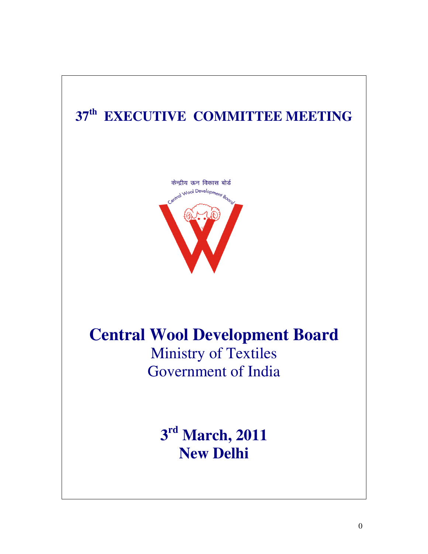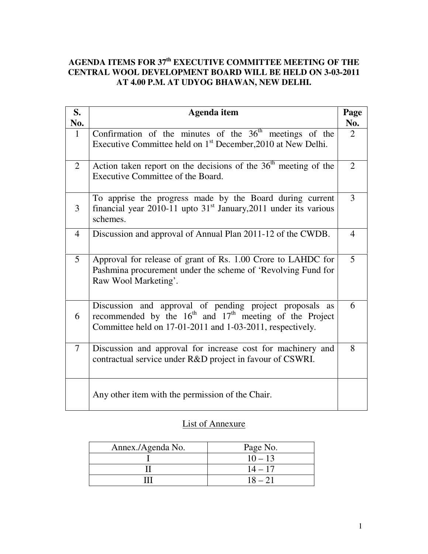## **AGENDA ITEMS FOR 37th EXECUTIVE COMMITTEE MEETING OF THE CENTRAL WOOL DEVELOPMENT BOARD WILL BE HELD ON 3-03-2011 AT 4.00 P.M. AT UDYOG BHAWAN, NEW DELHI.**

| S.<br>No.      | <b>Agenda</b> item                                                                                                                                                                  | Page<br>No.    |
|----------------|-------------------------------------------------------------------------------------------------------------------------------------------------------------------------------------|----------------|
| $\mathbf{1}$   | Confirmation of the minutes of the $36th$ meetings of the<br>Executive Committee held on 1 <sup>st</sup> December, 2010 at New Delhi.                                               | 2              |
| $\overline{2}$ | Action taken report on the decisions of the $36th$ meeting of the<br>Executive Committee of the Board.                                                                              | $\overline{2}$ |
| 3              | To apprise the progress made by the Board during current<br>financial year 2010-11 upto $31st$ January, 2011 under its various<br>schemes.                                          | 3              |
| $\overline{4}$ | Discussion and approval of Annual Plan 2011-12 of the CWDB.                                                                                                                         | $\overline{4}$ |
| 5              | Approval for release of grant of Rs. 1.00 Crore to LAHDC for<br>Pashmina procurement under the scheme of 'Revolving Fund for<br>Raw Wool Marketing'.                                | 5              |
| 6              | Discussion and approval of pending project proposals as<br>recommended by the $16th$ and $17th$ meeting of the Project<br>Committee held on 17-01-2011 and 1-03-2011, respectively. | 6              |
| $\tau$         | Discussion and approval for increase cost for machinery and<br>contractual service under R&D project in favour of CSWRI.                                                            | 8              |
|                | Any other item with the permission of the Chair.                                                                                                                                    |                |

## List of Annexure

| Annex./Agenda No. | Page No.  |
|-------------------|-----------|
|                   | $10 - 13$ |
|                   | $14 - 17$ |
|                   | $18 - 21$ |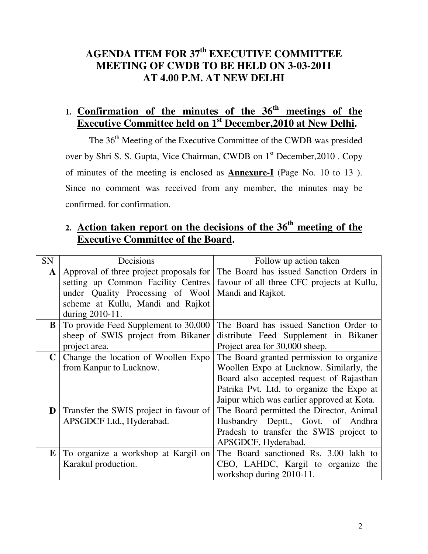# **AGENDA ITEM FOR 37th EXECUTIVE COMMITTEE MEETING OF CWDB TO BE HELD ON 3-03-2011 AT 4.00 P.M. AT NEW DELHI**

# **1. Confirmation of the minutes of the 36th meetings of the Executive Committee held on 1st December,2010 at New Delhi.**

The 36<sup>th</sup> Meeting of the Executive Committee of the CWDB was presided over by Shri S. S. Gupta, Vice Chairman, CWDB on 1<sup>st</sup> December, 2010 . Copy of minutes of the meeting is enclosed as **Annexure-I** (Page No. 10 to 13 ). Since no comment was received from any member, the minutes may be confirmed. for confirmation.

# **2. Action taken report on the decisions of the 36th meeting of the Executive Committee of the Board.**

| SN          | Decisions                               | Follow up action taken                     |  |  |
|-------------|-----------------------------------------|--------------------------------------------|--|--|
| ${\bf A}$   | Approval of three project proposals for | The Board has issued Sanction Orders in    |  |  |
|             | setting up Common Facility Centres      | favour of all three CFC projects at Kullu, |  |  |
|             | under Quality Processing of Wool        | Mandi and Rajkot.                          |  |  |
|             | scheme at Kullu, Mandi and Rajkot       |                                            |  |  |
|             | during 2010-11.                         |                                            |  |  |
| $\bf{B}$    | To provide Feed Supplement to 30,000    | The Board has issued Sanction Order to     |  |  |
|             | sheep of SWIS project from Bikaner      | distribute Feed Supplement in Bikaner      |  |  |
|             | project area.                           | Project area for 30,000 sheep.             |  |  |
| $\mathbf C$ | Change the location of Woollen Expo     | The Board granted permission to organize   |  |  |
|             | from Kanpur to Lucknow.                 | Woollen Expo at Lucknow. Similarly, the    |  |  |
|             |                                         | Board also accepted request of Rajasthan   |  |  |
|             |                                         | Patrika Pvt. Ltd. to organize the Expo at  |  |  |
|             |                                         | Jaipur which was earlier approved at Kota. |  |  |
| D           | Transfer the SWIS project in favour of  | The Board permitted the Director, Animal   |  |  |
|             | APSGDCF Ltd., Hyderabad.                | Husbandry Deptt., Govt. of Andhra          |  |  |
|             |                                         | Pradesh to transfer the SWIS project to    |  |  |
|             |                                         | APSGDCF, Hyderabad.                        |  |  |
| E           | To organize a workshop at Kargil on     | The Board sanctioned Rs. 3.00 lakh to      |  |  |
|             | Karakul production.                     | CEO, LAHDC, Kargil to organize the         |  |  |
|             |                                         | workshop during 2010-11.                   |  |  |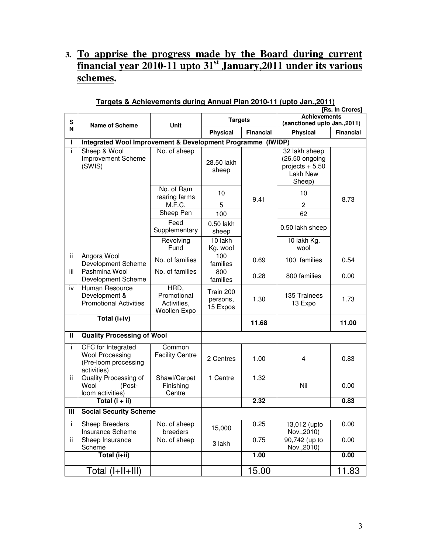## **3. To apprise the progress made by the Board during current financial year 2010-11 upto 31st January,2011 under its various schemes.**

|              | [Rs. In Crores]                                                                     |                                                    |                                   |                  |                                                                           |                  |
|--------------|-------------------------------------------------------------------------------------|----------------------------------------------------|-----------------------------------|------------------|---------------------------------------------------------------------------|------------------|
| S            | <b>Name of Scheme</b>                                                               | <b>Unit</b>                                        | <b>Targets</b>                    |                  | <b>Achievements</b><br>(sanctioned upto Jan., 2011)                       |                  |
| N            |                                                                                     |                                                    | Physical                          | <b>Financial</b> | Physical                                                                  | <b>Financial</b> |
|              | Integrated Wool Improvement & Development Programme (IWIDP)                         |                                                    |                                   |                  |                                                                           |                  |
| i.           | Sheep & Wool<br>Improvement Scheme<br>(SWIS)                                        | No. of sheep                                       | 28.50 lakh<br>sheep               |                  | 32 lakh sheep<br>(26.50 ongoing<br>projects $+5.50$<br>Lakh New<br>Sheep) |                  |
|              |                                                                                     | No. of Ram<br>rearing farms                        | 10                                | 9.41             | 10                                                                        | 8.73             |
|              |                                                                                     | M.F.C.                                             | 5                                 |                  | $\overline{c}$                                                            |                  |
|              |                                                                                     | Sheep Pen                                          | 100                               |                  | 62                                                                        |                  |
|              |                                                                                     | Feed<br>Supplementary                              | 0.50 lakh<br>sheep                |                  | 0.50 lakh sheep                                                           |                  |
|              |                                                                                     | Revolving<br>Fund                                  | 10 lakh<br>Kg. wool               |                  | 10 lakh Kg.<br>wool                                                       |                  |
| ii.          | Angora Wool<br>Development Scheme                                                   | No. of families                                    | 100<br>families                   | 0.69             | 100 families                                                              | 0.54             |
| iii          | Pashmina Wool<br>Development Scheme                                                 | No. of families                                    | 800<br>families                   | 0.28             | 800 families                                                              | 0.00             |
| iv           | Human Resource<br>Development &<br><b>Promotional Activities</b>                    | HRD,<br>Promotional<br>Activities,<br>Woollen Expo | Train 200<br>persons,<br>15 Expos | 1.30             | 135 Trainees<br>13 Expo                                                   | 1.73             |
|              | Total (i+iv)                                                                        |                                                    |                                   | 11.68            |                                                                           | 11.00            |
| $\mathbf{H}$ | <b>Quality Processing of Wool</b>                                                   |                                                    |                                   |                  |                                                                           |                  |
| i.           | CFC for Integrated<br><b>Wool Processing</b><br>(Pre-loom processing<br>activities) | Common<br><b>Facility Centre</b>                   | 2 Centres                         | 1.00             | 4                                                                         | 0.83             |
| ii.          | Quality Processing of<br>Wool<br>(Post-<br>loom activities)                         | Shawl/Carpet<br>Finishing<br>Centre                | 1 Centre                          | 1.32             | Nil                                                                       | 0.00             |
|              | Total $(i + ii)$                                                                    |                                                    |                                   | 2.32             |                                                                           | 0.83             |
| Ш            | <b>Social Security Scheme</b>                                                       |                                                    |                                   |                  |                                                                           |                  |
| Ť            | Sheep Breeders<br>Insurance Scheme                                                  | No. of sheep<br>breeders                           | 15,000                            | 0.25             | 13,012 (upto<br>Nov., 2010)                                               | 0.00             |
| ii.          | Sheep Insurance<br>Scheme                                                           | No. of sheep                                       | 3 lakh                            | 0.75             | 90,742 (up to<br>Nov., 2010)                                              | 0.00             |
|              | Total (i+ii)                                                                        |                                                    |                                   | 1.00             |                                                                           | 0.00             |
|              | Total (I+II+III)                                                                    |                                                    |                                   | 15.00            |                                                                           | 11.83            |

### **Targets & Achievements during Annual Plan 2010-11 (upto Jan.,2011)**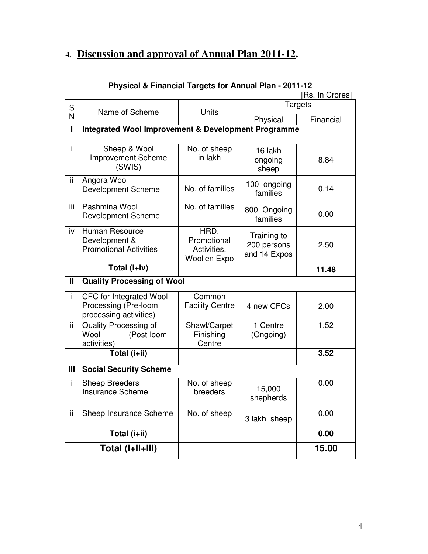# **4. Discussion and approval of Annual Plan 2011-12.**

|              |                                                                                  |                                                           |                                            | [Rs. In Crores] |
|--------------|----------------------------------------------------------------------------------|-----------------------------------------------------------|--------------------------------------------|-----------------|
| S            | Name of Scheme                                                                   | <b>Units</b>                                              |                                            | Targets         |
| N            |                                                                                  |                                                           | Physical                                   | Financial       |
| L            | <b>Integrated Wool Improvement &amp; Development Programme</b>                   |                                                           |                                            |                 |
| i.           | Sheep & Wool<br><b>Improvement Scheme</b><br>(SWIS)                              | No. of sheep<br>in lakh                                   | 16 lakh<br>ongoing<br>sheep                | 8.84            |
| ii           | Angora Wool<br><b>Development Scheme</b>                                         | No. of families                                           | 100 ongoing<br>families                    | 0.14            |
| iii          | Pashmina Wool<br><b>Development Scheme</b>                                       | No. of families                                           | 800 Ongoing<br>families                    | 0.00            |
| iv           | Human Resource<br>Development &<br><b>Promotional Activities</b>                 | HRD,<br>Promotional<br>Activities,<br><b>Woollen Expo</b> | Training to<br>200 persons<br>and 14 Expos | 2.50            |
|              | Total (i+iv)                                                                     |                                                           |                                            | 11.48           |
| $\mathbf{I}$ | <b>Quality Processing of Wool</b>                                                |                                                           |                                            |                 |
| İ.           | <b>CFC</b> for Integrated Wool<br>Processing (Pre-loom<br>processing activities) | Common<br><b>Facility Centre</b>                          | 4 new CFCs                                 | 2.00            |
| ii.          | Quality Processing of<br>Wool<br>(Post-loom<br>activities)                       | Shawl/Carpet<br>Finishing<br>Centre                       | 1 Centre<br>(Ongoing)                      | 1.52            |
|              | Total (i+ii)                                                                     |                                                           |                                            | 3.52            |
| III          | <b>Social Security Scheme</b>                                                    |                                                           |                                            |                 |
| i.           | <b>Sheep Breeders</b><br><b>Insurance Scheme</b>                                 | No. of sheep<br>breeders                                  | 15,000<br>shepherds                        | 0.00            |
| ii.          | Sheep Insurance Scheme                                                           | No. of sheep                                              | 3 lakh sheep                               | 0.00            |
|              | Total (i+ii)                                                                     |                                                           |                                            | 0.00            |
|              | Total (I+II+III)                                                                 |                                                           |                                            | 15.00           |

## **Physical & Financial Targets for Annual Plan - 2011-12**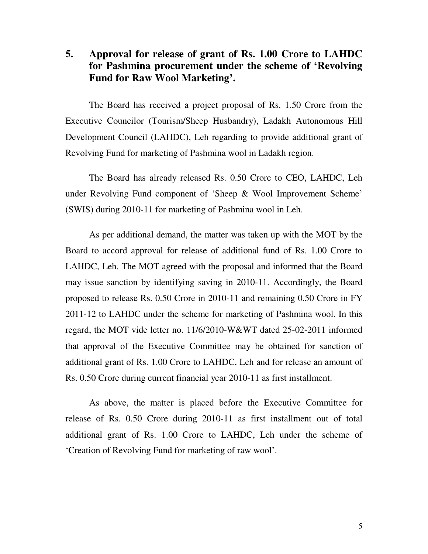## **5. Approval for release of grant of Rs. 1.00 Crore to LAHDC for Pashmina procurement under the scheme of 'Revolving Fund for Raw Wool Marketing'.**

 The Board has received a project proposal of Rs. 1.50 Crore from the Executive Councilor (Tourism/Sheep Husbandry), Ladakh Autonomous Hill Development Council (LAHDC), Leh regarding to provide additional grant of Revolving Fund for marketing of Pashmina wool in Ladakh region.

 The Board has already released Rs. 0.50 Crore to CEO, LAHDC, Leh under Revolving Fund component of 'Sheep & Wool Improvement Scheme' (SWIS) during 2010-11 for marketing of Pashmina wool in Leh.

 As per additional demand, the matter was taken up with the MOT by the Board to accord approval for release of additional fund of Rs. 1.00 Crore to LAHDC, Leh. The MOT agreed with the proposal and informed that the Board may issue sanction by identifying saving in 2010-11. Accordingly, the Board proposed to release Rs. 0.50 Crore in 2010-11 and remaining 0.50 Crore in FY 2011-12 to LAHDC under the scheme for marketing of Pashmina wool. In this regard, the MOT vide letter no. 11/6/2010-W&WT dated 25-02-2011 informed that approval of the Executive Committee may be obtained for sanction of additional grant of Rs. 1.00 Crore to LAHDC, Leh and for release an amount of Rs. 0.50 Crore during current financial year 2010-11 as first installment.

 As above, the matter is placed before the Executive Committee for release of Rs. 0.50 Crore during 2010-11 as first installment out of total additional grant of Rs. 1.00 Crore to LAHDC, Leh under the scheme of 'Creation of Revolving Fund for marketing of raw wool'.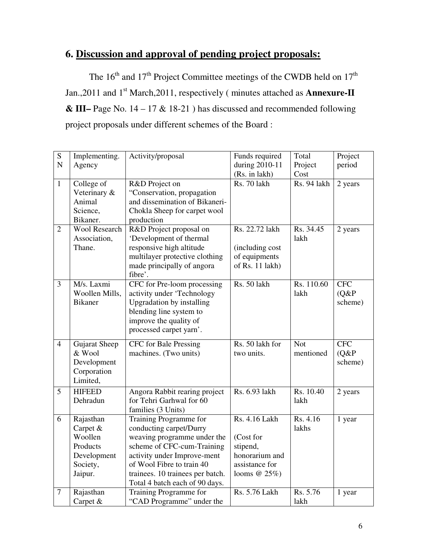# **6. Discussion and approval of pending project proposals:**

The  $16<sup>th</sup>$  and  $17<sup>th</sup>$  Project Committee meetings of the CWDB held on  $17<sup>th</sup>$ Jan., 2011 and 1<sup>st</sup> March, 2011, respectively (minutes attached as **Annexure-II & III–** Page No. 14 – 17 & 18-21 ) has discussed and recommended following project proposals under different schemes of the Board :

| $\overline{S}$ | Implementing.        | Activity/proposal                | Funds required               | Total                           | Project    |
|----------------|----------------------|----------------------------------|------------------------------|---------------------------------|------------|
| ${\bf N}$      | Agency               |                                  | during 2010-11               | Project                         | period     |
| $\mathbf{1}$   | College of           | R&D Project on                   | (Rs. in lakh)<br>Rs. 70 lakh | Cost<br>Rs. 94 lakh             | 2 years    |
|                | Veterinary &         | "Conservation, propagation       |                              |                                 |            |
|                | Animal               | and dissemination of Bikaneri-   |                              |                                 |            |
|                | Science,             | Chokla Sheep for carpet wool     |                              |                                 |            |
|                | Bikaner.             | production                       |                              |                                 |            |
| $\overline{2}$ | <b>Wool Research</b> | R&D Project proposal on          | Rs. 22.72 lakh               | Rs. 34.45                       | 2 years    |
|                | Association,         | 'Development of thermal          |                              | lakh                            |            |
|                | Thane.               | responsive high altitude         | (including cost              |                                 |            |
|                |                      | multilayer protective clothing   | of equipments                |                                 |            |
|                |                      | made principally of angora       | of Rs. 11 lakh)              |                                 |            |
|                |                      | fibre'.                          |                              |                                 |            |
| 3              | M/s. Laxmi           | CFC for Pre-loom processing      | Rs. 50 lakh                  | $\overline{\text{Rs}}$ . 110.60 | <b>CFC</b> |
|                | Woollen Mills,       | activity under 'Technology       |                              | lakh                            | (Q&P)      |
|                | <b>Bikaner</b>       | <b>Upgradation by installing</b> |                              |                                 | scheme)    |
|                |                      | blending line system to          |                              |                                 |            |
|                |                      | improve the quality of           |                              |                                 |            |
|                |                      | processed carpet yarn'.          |                              |                                 |            |
| $\overline{4}$ | Gujarat Sheep        | CFC for Bale Pressing            | Rs. 50 lakh for              | <b>Not</b>                      | <b>CFC</b> |
|                | & Wool               | machines. (Two units)            | two units.                   | mentioned                       | (Q&P)      |
|                | Development          |                                  |                              |                                 | scheme)    |
|                | Corporation          |                                  |                              |                                 |            |
|                | Limited,             |                                  |                              |                                 |            |
| 5              | <b>HIFEED</b>        | Angora Rabbit rearing project    | Rs. 6.93 lakh                | Rs. 10.40                       | 2 years    |
|                | Dehradun             | for Tehri Garhwal for 60         |                              | lakh                            |            |
|                |                      | families (3 Units)               |                              |                                 |            |
| 6              | Rajasthan            | Training Programme for           | Rs. 4.16 Lakh                | Rs. 4.16                        | 1 year     |
|                | Carpet &             | conducting carpet/Durry          |                              | lakhs                           |            |
|                | Woollen              | weaving programme under the      | (Cost for                    |                                 |            |
|                | Products             | scheme of CFC-cum-Training       | stipend,                     |                                 |            |
|                | Development          | activity under Improve-ment      | honorarium and               |                                 |            |
|                | Society,             | of Wool Fibre to train 40        | assistance for               |                                 |            |
|                | Jaipur.              | trainees. 10 trainees per batch. | looms $@25\%$ )              |                                 |            |
|                |                      | Total 4 batch each of 90 days.   |                              |                                 |            |
| $\tau$         | Rajasthan            | Training Programme for           | <b>Rs. 5.76 Lakh</b>         | Rs. 5.76                        | 1 year     |
|                | Carpet &             | "CAD Programme" under the        |                              | lakh                            |            |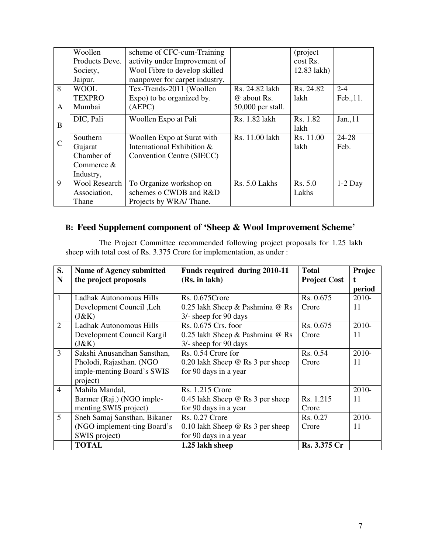|               | Woollen              | scheme of CFC-cum-Training    |                   | (project    |           |
|---------------|----------------------|-------------------------------|-------------------|-------------|-----------|
|               | Products Deve.       | activity under Improvement of |                   | cost Rs.    |           |
|               | Society,             | Wool Fibre to develop skilled |                   | 12.83 lakh) |           |
|               | Jaipur.              | manpower for carpet industry. |                   |             |           |
| 8             | <b>WOOL</b>          | Tex-Trends-2011 (Woollen      | Rs. 24.82 lakh    | Rs. 24.82   | $2 - 4$   |
|               | <b>TEXPRO</b>        | Expo) to be organized by.     | @ about Rs.       | lakh        | Feb., 11. |
| A             | Mumbai               | (AEPC)                        | 50,000 per stall. |             |           |
|               | DIC, Pali            | Woollen Expo at Pali          | Rs. 1.82 lakh     | Rs. 1.82    | Jan., 11  |
| B             |                      |                               |                   | lakh        |           |
|               | <b>Southern</b>      | Woollen Expo at Surat with    | Rs. 11.00 lakh    | Rs. 11.00   | 24-28     |
| $\mathcal{C}$ | Gujarat              | International Exhibition &    |                   | lakh        | Feb.      |
|               | Chamber of           | Convention Centre (SIECC)     |                   |             |           |
|               | Commerce $&$         |                               |                   |             |           |
|               | Industry,            |                               |                   |             |           |
| 9             | <b>Wool Research</b> | To Organize workshop on       | Rs. 5.0 Lakhs     | Rs. 5.0     | $1-2$ Day |
|               | Association,         | schemes o CWDB and R&D        |                   | Lakhs       |           |
|               | Thane                | Projects by WRA/Thane.        |                   |             |           |

## **B: Feed Supplement component of 'Sheep & Wool Improvement Scheme'**

 The Project Committee recommended following project proposals for 1.25 lakh sheep with total cost of Rs. 3.375 Crore for implementation, as under :

| S.             | <b>Name of Agency submitted</b> | Funds required during 2010-11           | <b>Total</b>        | Projec |
|----------------|---------------------------------|-----------------------------------------|---------------------|--------|
| N              | the project proposals           | (Rs. in lakh)                           | <b>Project Cost</b> | t.     |
|                |                                 |                                         |                     | period |
| $\mathbf{1}$   | Ladhak Autonomous Hills         | Rs. 0.675 Crore                         | Rs. 0.675           | 2010-  |
|                | Development Council, Leh        | 0.25 lakh Sheep & Pashmina @ Rs         | Crore               | 11     |
|                | (J&K)                           | 3/- sheep for 90 days                   |                     |        |
| $\overline{2}$ | Ladhak Autonomous Hills         | Rs. 0.675 Crs. foor                     | Rs. 0.675           | 2010-  |
|                | Development Council Kargil      | 0.25 lakh Sheep & Pashmina @ Rs         | Crore               | 11     |
|                | (J&K)                           | 3/- sheep for 90 days                   |                     |        |
| 3              | Sakshi Anusandhan Sansthan,     | Rs. 0.54 Crore for                      | Rs. 0.54            | 2010-  |
|                | Pholodi, Rajasthan. (NGO        | 0.20 lakh Sheep $\omega$ Rs 3 per sheep | Crore               | 11     |
|                | imple-menting Board's SWIS      | for 90 days in a year                   |                     |        |
|                | project)                        |                                         |                     |        |
| $\overline{4}$ | Mahila Mandal,                  | <b>Rs. 1.215 Crore</b>                  |                     | 2010-  |
|                | Barmer (Raj.) (NGO imple-       | 0.45 lakh Sheep $@$ Rs 3 per sheep      | Rs. 1.215           | 11     |
|                | menting SWIS project)           | for 90 days in a year                   | Crore               |        |
| 5              | Sneh Samaj Sansthan, Bikaner    | <b>Rs. 0.27 Crore</b>                   | Rs. 0.27            | 2010-  |
|                | (NGO implement-ting Board's     | 0.10 lakh Sheep $\omega$ Rs 3 per sheep | Crore               | 11     |
|                | SWIS project)                   | for 90 days in a year                   |                     |        |
|                | <b>TOTAL</b>                    | 1.25 lakh sheep                         | Rs. 3.375 Cr        |        |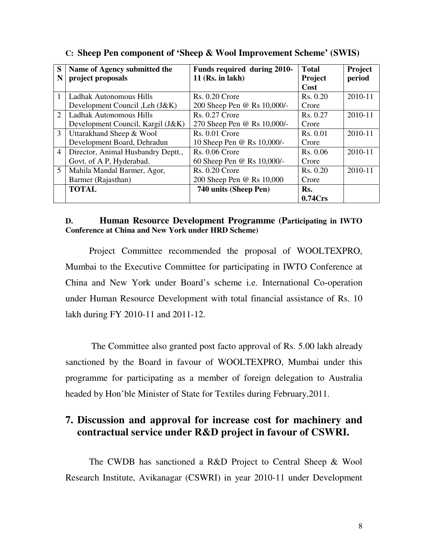| S                           | Name of Agency submitted the       | Funds required during 2010- | Total    | Project |
|-----------------------------|------------------------------------|-----------------------------|----------|---------|
| N                           | project proposals                  | $11$ (Rs. in lakh)          | Project  | period  |
|                             |                                    |                             | Cost     |         |
| $\mathbf{1}$                | Ladhak Autonomous Hills            | $Rs. 0.20$ Crore            | Rs. 0.20 | 2010-11 |
|                             | Development Council, Leh (J&K)     | 200 Sheep Pen @ Rs 10,000/- | Crore    |         |
| $\mathcal{D}_{\mathcal{L}}$ | Ladhak Autonomous Hills            | <b>Rs. 0.27 Crore</b>       | Rs. 0.27 | 2010-11 |
|                             | Development Council, Kargil (J&K)  | 270 Sheep Pen @ Rs 10,000/- | Crore    |         |
| 3                           | Uttarakhand Sheep & Wool           | $Rs. 0.01$ Crore            | Rs. 0.01 | 2010-11 |
|                             | Development Board, Dehradun        | 10 Sheep Pen @ Rs 10,000/-  | Crore    |         |
| $\overline{4}$              | Director, Animal Husbandry Deptt., | $Rs. 0.06$ Crore            | Rs. 0.06 | 2010-11 |
|                             | Govt. of A P, Hyderabad.           | 60 Sheep Pen @ Rs 10,000/-  | Crore    |         |
| 5                           | Mahila Mandal Barmer, Agor,        | $Rs. 0.20$ Crore            | Rs. 0.20 | 2010-11 |
|                             | Barmer (Rajasthan)                 | 200 Sheep Pen @ Rs 10,000   | Crore    |         |
|                             | <b>TOTAL</b>                       | 740 units (Sheep Pen)       | Rs.      |         |
|                             |                                    |                             | 0.74Crs  |         |

### **C: Sheep Pen component of 'Sheep & Wool Improvement Scheme' (SWIS)**

### **D. Human Resource Development Programme (Participating in IWTO Conference at China and New York under HRD Scheme)**

Project Committee recommended the proposal of WOOLTEXPRO, Mumbai to the Executive Committee for participating in IWTO Conference at China and New York under Board's scheme i.e. International Co-operation under Human Resource Development with total financial assistance of Rs. 10 lakh during FY 2010-11 and 2011-12.

 The Committee also granted post facto approval of Rs. 5.00 lakh already sanctioned by the Board in favour of WOOLTEXPRO, Mumbai under this programme for participating as a member of foreign delegation to Australia headed by Hon'ble Minister of State for Textiles during February,2011.

## **7. Discussion and approval for increase cost for machinery and contractual service under R&D project in favour of CSWRI.**

 The CWDB has sanctioned a R&D Project to Central Sheep & Wool Research Institute, Avikanagar (CSWRI) in year 2010-11 under Development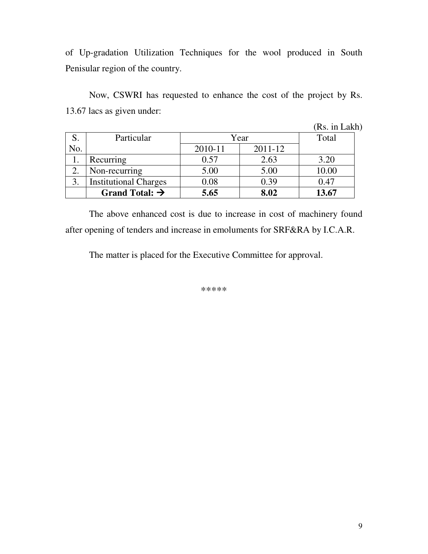of Up-gradation Utilization Techniques for the wool produced in South Penisular region of the country.

 Now, CSWRI has requested to enhance the cost of the project by Rs. 13.67 lacs as given under:

|                |                              |         |         | (Rs. in Lakh) |
|----------------|------------------------------|---------|---------|---------------|
| S.             | Particular                   |         | Year    | Total         |
| No.            |                              | 2010-11 | 2011-12 |               |
|                | Recurring                    | 0.57    | 2.63    | 3.20          |
| 2.             | Non-recurring                | 5.00    | 5.00    | 10.00         |
| $\mathfrak{Z}$ | <b>Institutional Charges</b> | 0.08    | 0.39    | 0.47          |
|                | Grand Total: $\rightarrow$   | 5.65    | 8.02    | 13.67         |

 The above enhanced cost is due to increase in cost of machinery found after opening of tenders and increase in emoluments for SRF&RA by I.C.A.R.

The matter is placed for the Executive Committee for approval.

\*\*\*\*\*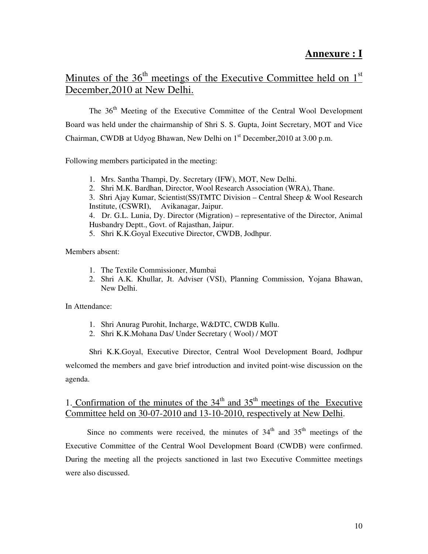## **Annexure : I**

## Minutes of the  $36<sup>th</sup>$  meetings of the Executive Committee held on  $1<sup>st</sup>$ December,2010 at New Delhi.

The 36<sup>th</sup> Meeting of the Executive Committee of the Central Wool Development Board was held under the chairmanship of Shri S. S. Gupta, Joint Secretary, MOT and Vice Chairman, CWDB at Udyog Bhawan, New Delhi on  $1<sup>st</sup>$  December, 2010 at 3.00 p.m.

Following members participated in the meeting:

- 1. Mrs. Santha Thampi, Dy. Secretary (IFW), MOT, New Delhi.
- 2. Shri M.K. Bardhan, Director, Wool Research Association (WRA), Thane.

3. Shri Ajay Kumar, Scientist(SS)TMTC Division – Central Sheep & Wool Research Institute, (CSWRI), Avikanagar, Jaipur.

4. Dr. G.L. Lunia, Dy. Director (Migration) – representative of the Director, Animal Husbandry Deptt., Govt. of Rajasthan, Jaipur.

5. Shri K.K.Goyal Executive Director, CWDB, Jodhpur.

Members absent:

- 1. The Textile Commissioner, Mumbai
- 2. Shri A.K. Khullar, Jt. Adviser (VSI), Planning Commission, Yojana Bhawan, New Delhi.

In Attendance:

- 1. Shri Anurag Purohit, Incharge, W&DTC, CWDB Kullu.
- 2. Shri K.K.Mohana Das/ Under Secretary ( Wool) / MOT

Shri K.K.Goyal, Executive Director, Central Wool Development Board, Jodhpur welcomed the members and gave brief introduction and invited point-wise discussion on the agenda.

## 1. Confirmation of the minutes of the  $34<sup>th</sup>$  and  $35<sup>th</sup>$  meetings of the Executive Committee held on 30-07-2010 and 13-10-2010, respectively at New Delhi.

Since no comments were received, the minutes of  $34<sup>th</sup>$  and  $35<sup>th</sup>$  meetings of the Executive Committee of the Central Wool Development Board (CWDB) were confirmed. During the meeting all the projects sanctioned in last two Executive Committee meetings were also discussed.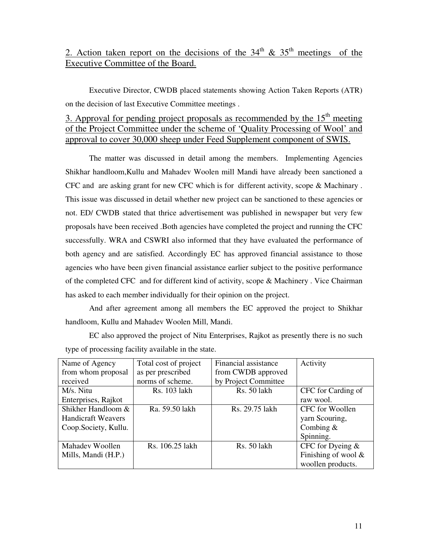## 2. Action taken report on the decisions of the  $34<sup>th</sup>$  &  $35<sup>th</sup>$  meetings of the Executive Committee of the Board.

Executive Director, CWDB placed statements showing Action Taken Reports (ATR) on the decision of last Executive Committee meetings .

## 3. Approval for pending project proposals as recommended by the  $15<sup>th</sup>$  meeting of the Project Committee under the scheme of 'Quality Processing of Wool' and approval to cover 30,000 sheep under Feed Supplement component of SWIS.

 The matter was discussed in detail among the members. Implementing Agencies Shikhar handloom,Kullu and Mahadev Woolen mill Mandi have already been sanctioned a CFC and are asking grant for new CFC which is for different activity, scope & Machinary . This issue was discussed in detail whether new project can be sanctioned to these agencies or not. ED/ CWDB stated that thrice advertisement was published in newspaper but very few proposals have been received .Both agencies have completed the project and running the CFC successfully. WRA and CSWRI also informed that they have evaluated the performance of both agency and are satisfied. Accordingly EC has approved financial assistance to those agencies who have been given financial assistance earlier subject to the positive performance of the completed CFC and for different kind of activity, scope & Machinery . Vice Chairman has asked to each member individually for their opinion on the project.

 And after agreement among all members the EC approved the project to Shikhar handloom, Kullu and Mahadev Woolen Mill, Mandi.

 EC also approved the project of Nitu Enterprises, Rajkot as presently there is no such type of processing facility available in the state.

| Name of Agency            | Total cost of project | Financial assistance | Activity               |
|---------------------------|-----------------------|----------------------|------------------------|
| from whom proposal        | as per prescribed     | from CWDB approved   |                        |
| received                  | norms of scheme.      | by Project Committee |                        |
| M/s. Nitu                 | Rs. 103 lakh          | Rs. 50 lakh          | CFC for Carding of     |
| Enterprises, Rajkot       |                       |                      | raw wool.              |
| Shikher Handloom &        | Ra. 59.50 lakh        | Rs. 29.75 lakh       | CFC for Woollen        |
| <b>Handicraft Weavers</b> |                       |                      | yarn Scouring,         |
| Coop.Society, Kullu.      |                       |                      | Combing $&$            |
|                           |                       |                      | Spinning.              |
| Mahadev Woollen           | Rs. 106.25 lakh       | Rs. 50 lakh          | CFC for Dyeing $\&$    |
| Mills, Mandi (H.P.)       |                       |                      | Finishing of wool $\&$ |
|                           |                       |                      | woollen products.      |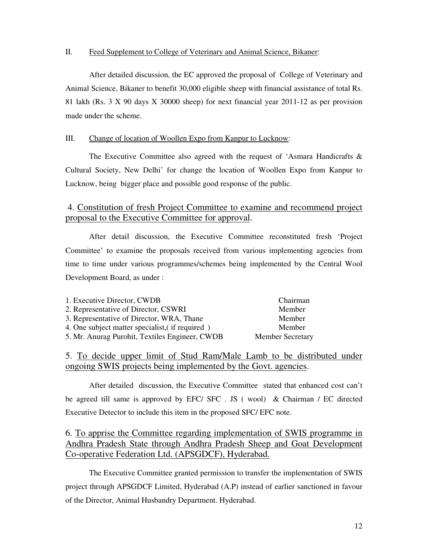#### II. Feed Supplement to College of Veterinary and Animal Science, Bikaner:

 After detailed discussion, the EC approved the proposal of College of Veterinary and Animal Science, Bikaner to benefit 30,000 eligible sheep with financial assistance of total Rs. 81 lakh (Rs. 3 X 90 days X 30000 sheep) for next financial year 2011-12 as per provision made under the scheme.

#### III. Change of location of Woollen Expo from Kanpur to Lucknow:

The Executive Committee also agreed with the request of 'Asmara Handicrafts  $\&$ Cultural Society, New Delhi' for change the location of Woollen Expo from Kanpur to Lucknow, being bigger place and possible good response of the public.

### 4. Constitution of fresh Project Committee to examine and recommend project proposal to the Executive Committee for approval.

 After detail discussion, the Executive Committee reconstituted fresh 'Project Committee' to examine the proposals received from various implementing agencies from time to time under various programmes/schemes being implemented by the Central Wool Development Board, as under :

| 1. Executive Director, CWDB                     | Chairman                |
|-------------------------------------------------|-------------------------|
| 2. Representative of Director, CSWRI            | Member                  |
| 3. Representative of Director, WRA, Thane       | Member                  |
| 4. One subject matter specialist, (if required) | Member                  |
| 5. Mr. Anurag Purohit, Textiles Engineer, CWDB  | <b>Member Secretary</b> |

### 5. To decide upper limit of Stud Ram/Male Lamb to be distributed under ongoing SWIS projects being implemented by the Govt. agencies.

 After detailed discussion, the Executive Committee stated that enhanced cost can't be agreed till same is approved by EFC/ SFC . JS ( wool) & Chairman / EC directed Executive Detector to include this item in the proposed SFC/ EFC note.

### 6. To apprise the Committee regarding implementation of SWIS programme in Andhra Pradesh State through Andhra Pradesh Sheep and Goat Development Co-operative Federation Ltd. (APSGDCF), Hyderabad. ֧ׅ֪ׅ֞֝֬֝֬֝֬֝֬֝֬֝

 The Executive Committee granted permission to transfer the implementation of SWIS project through APSGDCF Limited, Hyderabad (A.P) instead of earlier sanctioned in favour of the Director, Animal Husbandry Department. Hyderabad.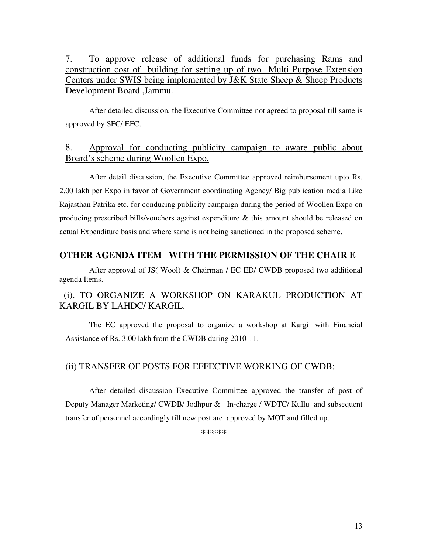7. To approve release of additional funds for purchasing Rams and construction cost of building for setting up of two Multi Purpose Extension Centers under SWIS being implemented by J&K State Sheep & Sheep Products Development Board ,Jammu.

After detailed discussion, the Executive Committee not agreed to proposal till same is approved by SFC/ EFC.

### 8. Approval for conducting publicity campaign to aware public about Board's scheme during Woollen Expo.

 After detail discussion, the Executive Committee approved reimbursement upto Rs. 2.00 lakh per Expo in favor of Government coordinating Agency/ Big publication media Like Rajasthan Patrika etc. for conducing publicity campaign during the period of Woollen Expo on producing prescribed bills/vouchers against expenditure & this amount should be released on actual Expenditure basis and where same is not being sanctioned in the proposed scheme.

### **OTHER AGENDA ITEM WITH THE PERMISSION OF THE CHAIR E**

 After approval of JS( Wool) & Chairman / EC ED/ CWDB proposed two additional agenda Items.

## (i). TO ORGANIZE A WORKSHOP ON KARAKUL PRODUCTION AT KARGIL BY LAHDC/ KARGIL.

 The EC approved the proposal to organize a workshop at Kargil with Financial Assistance of Rs. 3.00 lakh from the CWDB during 2010-11.

### (ii) TRANSFER OF POSTS FOR EFFECTIVE WORKING OF CWDB:

 After detailed discussion Executive Committee approved the transfer of post of Deputy Manager Marketing/ CWDB/ Jodhpur & In-charge / WDTC/ Kullu and subsequent transfer of personnel accordingly till new post are approved by MOT and filled up.

\*\*\*\*\*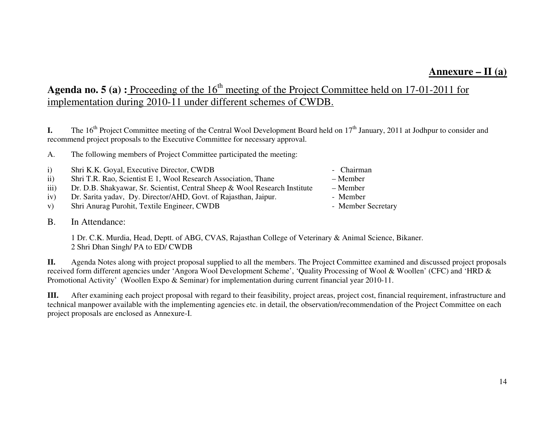## **Annexure – II (a)**

## Agenda no. 5 (a) : Proceeding of the 16<sup>th</sup> meeting of the Project Committee held on 17-01-2011 for implementation during 2010-11 under different schemes of CWDB.

**I.** The 16<sup>th</sup> Project Committee meeting of the Central Wool Development Board held on 17<sup>th</sup> January, 2011 at Jodhpur to consider and recommend project proposals to the Executive Committee for necessary approval.

A. The following members of Project Committee participated the meeting:

| i)            | Shri K.K. Goyal, Executive Director, CWDB                                  | - Chairman |
|---------------|----------------------------------------------------------------------------|------------|
| $\mathbf{ii}$ | Shri T.R. Rao, Scientist E 1, Wool Research Association, Thane             | – Member   |
| iii)          | Dr. D.B. Shakyawar, Sr. Scientist, Central Sheep & Wool Research Institute | – Member   |
| iv)           | Dr. Sarita yadav, Dy. Director/AHD, Govt. of Rajasthan, Jaipur.            | - Member   |

- v) Shri Anurag Purohit, Textile Engineer, CWDB Member Secretary
- B. In Attendance:

1 Dr. C.K. Murdia, Head, Deptt. of ABG, CVAS, Rajasthan College of Veterinary & Animal Science, Bikaner. 2 Shri Dhan Singh/ PA to ED/ CWDB

**II.** Agenda Notes along with project proposal supplied to all the members. The Project Committee examined and discussed project proposals received form different agencies under 'Angora Wool Development Scheme', 'Quality Processing of Wool & Woollen' (CFC) and 'HRD & Promotional Activity' (Woollen Expo & Seminar) for implementation during current financial year 2010-11.

**III.** After examining each project proposal with regard to their feasibility, project areas, project cost, financial requirement, infrastructure and technical manpower available with the implementing agencies etc. in detail, the observation/recommendation of the Project Committee on each project proposals are enclosed as Annexure-I.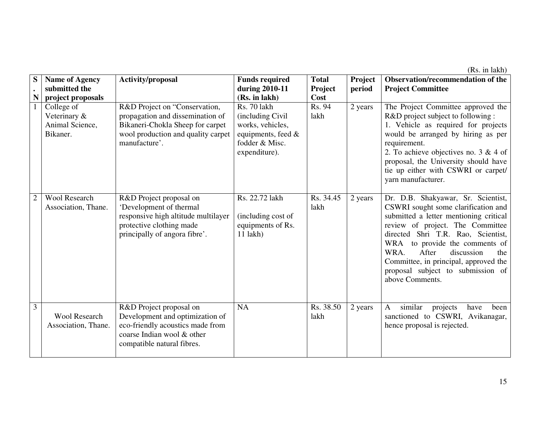(Rs. in lakh)

| S              | <b>Name of Agency</b>                                     | Activity/proposal                                                                                                                                            | <b>Funds required</b>                                                                                         | <b>Total</b>      | Project | Observation/recommendation of the                                                                                                                                                                                                                                                                                                                                      |
|----------------|-----------------------------------------------------------|--------------------------------------------------------------------------------------------------------------------------------------------------------------|---------------------------------------------------------------------------------------------------------------|-------------------|---------|------------------------------------------------------------------------------------------------------------------------------------------------------------------------------------------------------------------------------------------------------------------------------------------------------------------------------------------------------------------------|
|                | submitted the                                             |                                                                                                                                                              | during 2010-11                                                                                                | Project           | period  | <b>Project Committee</b>                                                                                                                                                                                                                                                                                                                                               |
| N              | project proposals                                         |                                                                                                                                                              | (Rs. in lakh)                                                                                                 | Cost              |         |                                                                                                                                                                                                                                                                                                                                                                        |
|                | College of<br>Veterinary &<br>Animal Science,<br>Bikaner. | R&D Project on "Conservation,<br>propagation and dissemination of<br>Bikaneri-Chokla Sheep for carpet<br>wool production and quality carpet<br>manufacture'. | Rs. 70 lakh<br>(including Civil)<br>works, vehicles,<br>equipments, feed &<br>fodder & Misc.<br>expenditure). | Rs. 94<br>lakh    | 2 years | The Project Committee approved the<br>R&D project subject to following :<br>1. Vehicle as required for projects<br>would be arranged by hiring as per<br>requirement.<br>2. To achieve objectives no. $3 \& 4$ of<br>proposal, the University should have<br>tie up either with CSWRI or carpet/<br>yarn manufacturer.                                                 |
| $\overline{2}$ | <b>Wool Research</b><br>Association, Thane.               | R&D Project proposal on<br>'Development of thermal<br>responsive high altitude multilayer<br>protective clothing made<br>principally of angora fibre'.       | Rs. 22.72 lakh<br>(including cost of<br>equipments of Rs.<br>$11$ lakh)                                       | Rs. 34.45<br>lakh | 2 years | Dr. D.B. Shakyawar, Sr. Scientist,<br>CSWRI sought some clarification and<br>submitted a letter mentioning critical<br>review of project. The Committee<br>directed Shri T.R. Rao, Scientist,<br>WRA to provide the comments of<br>WRA.<br>After<br>discussion<br>the<br>Committee, in principal, approved the<br>proposal subject to submission of<br>above Comments. |
| 3              | <b>Wool Research</b><br>Association, Thane.               | R&D Project proposal on<br>Development and optimization of<br>eco-friendly acoustics made from<br>coarse Indian wool & other<br>compatible natural fibres.   | NA                                                                                                            | Rs. 38.50<br>lakh | 2 years | similar<br>$\mathbf{A}$<br>projects<br>been<br>have<br>sanctioned to CSWRI, Avikanagar,<br>hence proposal is rejected.                                                                                                                                                                                                                                                 |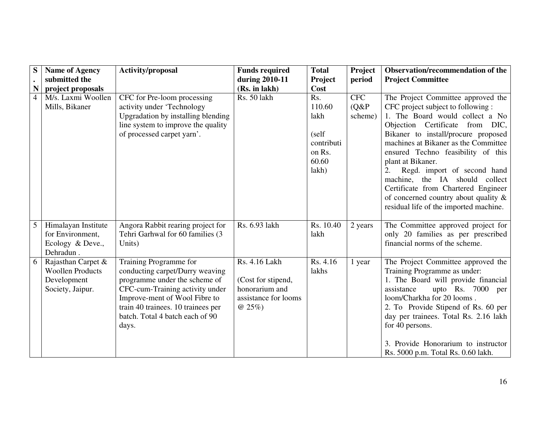| S              | <b>Name of Agency</b>                                                            | Activity/proposal                                                                                                                                                                                                                                | <b>Funds required</b>                                                                    | <b>Total</b>                                                             | Project                           | Observation/recommendation of the                                                                                                                                                                                                                                                                                                                                                                                                                                                     |
|----------------|----------------------------------------------------------------------------------|--------------------------------------------------------------------------------------------------------------------------------------------------------------------------------------------------------------------------------------------------|------------------------------------------------------------------------------------------|--------------------------------------------------------------------------|-----------------------------------|---------------------------------------------------------------------------------------------------------------------------------------------------------------------------------------------------------------------------------------------------------------------------------------------------------------------------------------------------------------------------------------------------------------------------------------------------------------------------------------|
|                | submitted the                                                                    |                                                                                                                                                                                                                                                  | during 2010-11                                                                           | Project                                                                  | period                            | <b>Project Committee</b>                                                                                                                                                                                                                                                                                                                                                                                                                                                              |
| N              | project proposals                                                                |                                                                                                                                                                                                                                                  | (Rs. in lakh)                                                                            | Cost                                                                     |                                   |                                                                                                                                                                                                                                                                                                                                                                                                                                                                                       |
| $\overline{4}$ | M/s. Laxmi Woollen<br>Mills, Bikaner                                             | CFC for Pre-loom processing<br>activity under 'Technology<br>Upgradation by installing blending<br>line system to improve the quality<br>of processed carpet yarn'.                                                                              | Rs. 50 lakh                                                                              | Rs.<br>110.60<br>lakh<br>(self<br>contributi<br>on Rs.<br>60.60<br>lakh) | <b>CFC</b><br>$(Q\&P)$<br>scheme) | The Project Committee approved the<br>CFC project subject to following :<br>1. The Board would collect a No<br>Objection Certificate from DIC,<br>Bikaner to install/procure proposed<br>machines at Bikaner as the Committee<br>ensured Techno feasibility of this<br>plant at Bikaner.<br>Regd. import of second hand<br>machine, the IA should collect<br>Certificate from Chartered Engineer<br>of concerned country about quality $\&$<br>residual life of the imported machine. |
| 5              | Himalayan Institute<br>for Environment,<br>Ecology & Deve.,<br>Dehradun.         | Angora Rabbit rearing project for<br>Tehri Garhwal for 60 families (3<br>Units)                                                                                                                                                                  | Rs. 6.93 lakh                                                                            | Rs. 10.40<br>lakh                                                        | 2 years                           | The Committee approved project for<br>only 20 families as per prescribed<br>financial norms of the scheme.                                                                                                                                                                                                                                                                                                                                                                            |
| 6              | Rajasthan Carpet &<br><b>Woollen Products</b><br>Development<br>Society, Jaipur. | Training Programme for<br>conducting carpet/Durry weaving<br>programme under the scheme of<br>CFC-cum-Training activity under<br>Improve-ment of Wool Fibre to<br>train 40 trainees. 10 trainees per<br>batch. Total 4 batch each of 90<br>days. | Rs. 4.16 Lakh<br>(Cost for stipend,<br>honorarium and<br>assistance for looms<br>$@25\%$ | Rs. 4.16<br>lakhs                                                        | 1 year                            | The Project Committee approved the<br>Training Programme as under:<br>1. The Board will provide financial<br>assistance<br>upto Rs. 7000 per<br>loom/Charkha for 20 looms.<br>2. To Provide Stipend of Rs. 60 per<br>day per trainees. Total Rs. 2.16 lakh<br>for 40 persons.<br>3. Provide Honorarium to instructor<br>Rs. 5000 p.m. Total Rs. 0.60 lakh.                                                                                                                            |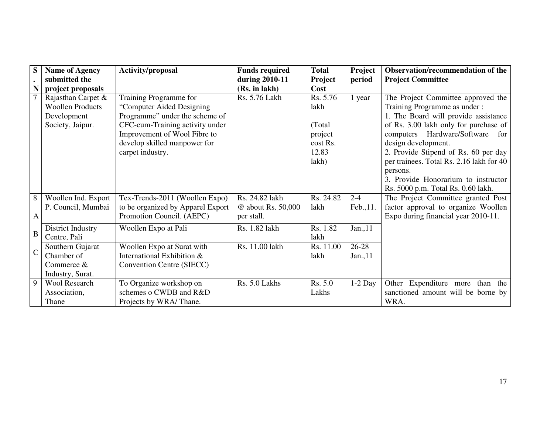| S              | <b>Name of Agency</b>   | <b>Activity/proposal</b>          | <b>Funds required</b> | <b>Total</b>   | Project   | Observation/recommendation of the        |
|----------------|-------------------------|-----------------------------------|-----------------------|----------------|-----------|------------------------------------------|
|                | submitted the           |                                   | during 2010-11        | <b>Project</b> | period    | <b>Project Committee</b>                 |
| N              | project proposals       |                                   | (Rs. in lakh)         | Cost           |           |                                          |
|                | Rajasthan Carpet &      | Training Programme for            | Rs. 5.76 Lakh         | Rs. 5.76       | 1 year    | The Project Committee approved the       |
|                | <b>Woollen Products</b> | "Computer Aided Designing"        |                       | lakh           |           | Training Programme as under:             |
|                | Development             | Programme" under the scheme of    |                       |                |           | 1. The Board will provide assistance     |
|                | Society, Jaipur.        | CFC-cum-Training activity under   |                       | (Total)        |           | of Rs. 3.00 lakh only for purchase of    |
|                |                         | Improvement of Wool Fibre to      |                       | project        |           | computers Hardware/Software<br>for       |
|                |                         | develop skilled manpower for      |                       | cost Rs.       |           | design development.                      |
|                |                         | carpet industry.                  |                       | 12.83          |           | 2. Provide Stipend of Rs. 60 per day     |
|                |                         |                                   |                       | lakh)          |           | per trainees. Total Rs. 2.16 lakh for 40 |
|                |                         |                                   |                       |                |           | persons.                                 |
|                |                         |                                   |                       |                |           | 3. Provide Honorarium to instructor      |
|                |                         |                                   |                       |                |           | Rs. 5000 p.m. Total Rs. 0.60 lakh.       |
| 8              | Woollen Ind. Export     | Tex-Trends-2011 (Woollen Expo)    | Rs. 24.82 lakh        | Rs. 24.82      | $2 - 4$   | The Project Committee granted Post       |
|                | P. Council, Mumbai      | to be organized by Apparel Export | @ about Rs. 50,000    | lakh           | Feb., 11. | factor approval to organize Woollen      |
| A              |                         | Promotion Council. (AEPC)         | per stall.            |                |           | Expo during financial year 2010-11.      |
|                | District Industry       | Woollen Expo at Pali              | Rs. 1.82 lakh         | Rs. 1.82       | Jan., 11  |                                          |
| B              | Centre, Pali            |                                   |                       | lakh           |           |                                          |
|                | Southern Gujarat        | Woollen Expo at Surat with        | Rs. 11.00 lakh        | Rs. 11.00      | $26 - 28$ |                                          |
| $\overline{C}$ | Chamber of              | International Exhibition &        |                       | lakh           | Jan., 11  |                                          |
|                | Commerce &              | Convention Centre (SIECC)         |                       |                |           |                                          |
|                | Industry, Surat.        |                                   |                       |                |           |                                          |
| 9              | Wool Research           | To Organize workshop on           | Rs. 5.0 Lakhs         | Rs. 5.0        | $1-2$ Day | Other Expenditure more than the          |
|                | Association,            | schemes o CWDB and R&D            |                       | Lakhs          |           | sanctioned amount will be borne by       |
|                | Thane                   | Projects by WRA/Thane.            |                       |                |           | WRA.                                     |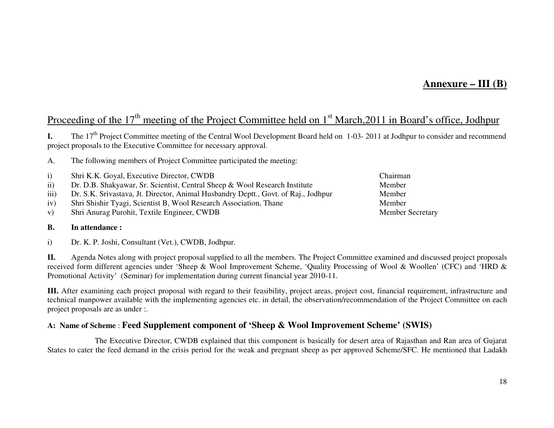## **Annexure – III (B)**

## Proceeding of the 17<sup>th</sup> meeting of the Project Committee held on 1<sup>st</sup> March, 2011 in Board's office, Jodhpur

**I.** The 17<sup>th</sup> Project Committee meeting of the Central Wool Development Board held on 1-03- 2011 at Jodhpur to consider and recommend project proposals to the Executive Committee for necessary approval.

A. The following members of Project Committee participated the meeting:

- i) Shri K.K. Goyal, Executive Director, CWDB Chairman
- ii) Dr. D.B. Shakyawar, Sr. Scientist, Central Sheep & Wool Research Institute Member
- iii) Dr. S.K. Srivastava, Jt. Director, Animal Husbandry Deptt., Govt. of Raj., Jodhpur Member
- iv) Shri Shishir Tyagi, Scientist B, Wool Research Association, Thane
- v) Shri Anurag Purohit, Textile Engineer, CWDB Member Secretary Member Secretary

#### **B. In attendance :**

i) Dr. K. P. Joshi, Consultant (Vet.), CWDB, Jodhpur.

**II.** Agenda Notes along with project proposal supplied to all the members. The Project Committee examined and discussed project proposals received form different agencies under 'Sheep & Wool Improvement Scheme, 'Quality Processing of Wool & Woollen' (CFC) and 'HRD & Promotional Activity' (Seminar) for implementation during current financial year 2010-11.

**III.** After examining each project proposal with regard to their feasibility, project areas, project cost, financial requirement, infrastructure and technical manpower available with the implementing agencies etc. in detail, the observation/recommendation of the Project Committee on each project proposals are as under :.

#### **A: Name of Scheme** : **Feed Supplement component of 'Sheep & Wool Improvement Scheme' (SWIS)**

 The Executive Director, CWDB explained that this component is basically for desert area of Rajasthan and Ran area of Gujarat States to cater the feed demand in the crisis period for the weak and pregnant sheep as per approved Scheme/SFC. He mentioned that Ladakh

Member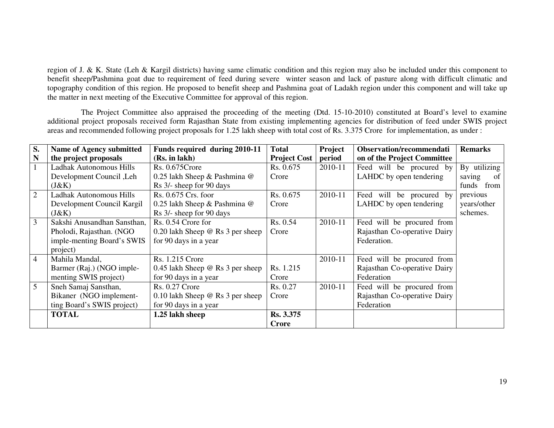region of J. & K. State (Leh & Kargil districts) having same climatic condition and this region may also be included under this component to benefit sheep/Pashmina goat due to requirement of feed during severe winter season and lack of pasture along with difficult climatic and topography condition of this region. He proposed to benefit sheep and Pashmina goat of Ladakh region under this component and will take up the matter in next meeting of the Executive Committee for approval of this region.

 The Project Committee also appraised the proceeding of the meeting (Dtd. 15-10-2010) constituted at Board's level to examine additional project proposals received form Rajasthan State from existing implementing agencies for distribution of feed under SWIS project areas and recommended following project proposals for 1.25 lakh sheep with total cost of Rs. 3.375 Crore for implementation, as under :

| S.             | Name of Agency submitted       | Funds required during 2010-11           | <b>Total</b>        | Project | Observation/recommendati     | <b>Remarks</b> |
|----------------|--------------------------------|-----------------------------------------|---------------------|---------|------------------------------|----------------|
| N              | the project proposals          | (Rs. in lakh)                           | <b>Project Cost</b> | period  | on of the Project Committee  |                |
|                | <b>Ladhak Autonomous Hills</b> | $Rs. 0.675$ Crore                       | Rs. 0.675           | 2010-11 | Feed will be procured by     | By utilizing   |
|                | Development Council, Leh       | 0.25 lakh Sheep & Pashmina @            | Crore               |         | LAHDC by open tendering      | saving<br>of   |
|                | (J&K)                          | Rs 3/- sheep for 90 days                |                     |         |                              | funds from     |
| $\overline{2}$ | Ladhak Autonomous Hills        | Rs. 0.675 Crs. foor                     | Rs. 0.675           | 2010-11 | Feed will be procured by     | previous       |
|                | Development Council Kargil     | 0.25 lakh Sheep & Pashmina @            | Crore               |         | LAHDC by open tendering      | years/other    |
|                | (J&K)                          | Rs 3/- sheep for 90 days                |                     |         |                              | schemes.       |
| $\overline{3}$ | Sakshi Anusandhan Sansthan,    | Rs. 0.54 Crore for                      | Rs. 0.54            | 2010-11 | Feed will be procured from   |                |
|                | Pholodi, Rajasthan. (NGO       | 0.20 lakh Sheep $@$ Rs 3 per sheep      | Crore               |         | Rajasthan Co-operative Dairy |                |
|                | imple-menting Board's SWIS     | for 90 days in a year                   |                     |         | Federation.                  |                |
|                | project)                       |                                         |                     |         |                              |                |
| 4              | Mahila Mandal,                 | Rs. 1.215 Crore                         |                     | 2010-11 | Feed will be procured from   |                |
|                | Barmer (Raj.) (NGO imple-      | 0.45 lakh Sheep $@$ Rs 3 per sheep      | Rs. 1.215           |         | Rajasthan Co-operative Dairy |                |
|                | menting SWIS project)          | for 90 days in a year                   | Crore               |         | Federation                   |                |
| 5              | Sneh Samaj Sansthan,           | <b>Rs. 0.27 Crore</b>                   | Rs. 0.27            | 2010-11 | Feed will be procured from   |                |
|                | Bikaner (NGO implement-        | 0.10 lakh Sheep $\omega$ Rs 3 per sheep | Crore               |         | Rajasthan Co-operative Dairy |                |
|                | ting Board's SWIS project)     | for 90 days in a year                   |                     |         | Federation                   |                |
|                | <b>TOTAL</b>                   | 1.25 lakh sheep                         | Rs. 3.375           |         |                              |                |
|                |                                |                                         | <b>Crore</b>        |         |                              |                |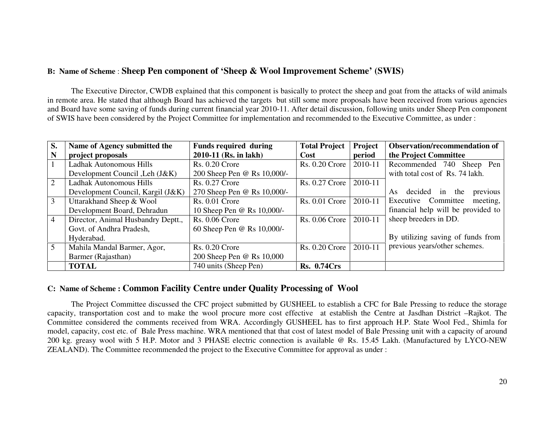### **B: Name of Scheme** : **Sheep Pen component of 'Sheep & Wool Improvement Scheme' (SWIS)**

 The Executive Director, CWDB explained that this component is basically to protect the sheep and goat from the attacks of wild animals in remote area. He stated that although Board has achieved the targets but still some more proposals have been received from various agencies and Board have some saving of funds during current financial year 2010-11. After detail discussion, following units under Sheep Pen component of SWIS have been considered by the Project Committee for implementation and recommended to the Executive Committee, as under :

| S.             | Name of Agency submitted the       | <b>Funds required during</b> | <b>Total Project</b>  | Project | <b>Observation/recommendation of</b> |
|----------------|------------------------------------|------------------------------|-----------------------|---------|--------------------------------------|
| N              | project proposals                  | 2010-11 (Rs. in lakh)        | Cost                  | period  | the Project Committee                |
| $\mathbf{1}$   | Ladhak Autonomous Hills            | <b>Rs. 0.20 Crore</b>        | <b>Rs. 0.20 Crore</b> | 2010-11 | Recommended 740 Sheep Pen            |
|                | Development Council , Leh (J&K)    | 200 Sheep Pen @ Rs 10,000/-  |                       |         | with total cost of Rs. 74 lakh.      |
| 2              | Ladhak Autonomous Hills            | <b>Rs. 0.27 Crore</b>        | <b>Rs. 0.27 Crore</b> | 2010-11 |                                      |
|                | Development Council, Kargil (J&K)  | 270 Sheep Pen @ Rs 10,000/-  |                       |         | As decided in the<br>previous        |
| 3              | Uttarakhand Sheep & Wool           | <b>Rs. 0.01 Crore</b>        | Rs. 0.01 Crore        | 2010-11 | Executive Committee<br>meeting,      |
|                | Development Board, Dehradun        | 10 Sheep Pen @ Rs 10,000/-   |                       |         | financial help will be provided to   |
| $\overline{4}$ | Director, Animal Husbandry Deptt., | <b>Rs. 0.06 Crore</b>        | <b>Rs. 0.06 Crore</b> | 2010-11 | sheep breeders in DD.                |
|                | Govt. of Andhra Pradesh,           | 60 Sheep Pen @ Rs 10,000/-   |                       |         |                                      |
|                | Hyderabad.                         |                              |                       |         | By utilizing saving of funds from    |
| $\overline{5}$ | Mahila Mandal Barmer, Agor,        | <b>Rs. 0.20 Crore</b>        | <b>Rs. 0.20 Crore</b> | 2010-11 | previous years/other schemes.        |
|                | Barmer (Rajasthan)                 | 200 Sheep Pen @ Rs 10,000    |                       |         |                                      |
|                | <b>TOTAL</b>                       | 740 units (Sheep Pen)        | <b>Rs. 0.74Crs</b>    |         |                                      |

### **C: Name of Scheme : Common Facility Centre under Quality Processing of Wool**

 The Project Committee discussed the CFC project submitted by GUSHEEL to establish a CFC for Bale Pressing to reduce the storage capacity, transportation cost and to make the wool procure more cost effective at establish the Centre at Jasdhan District –Rajkot. The Committee considered the comments received from WRA. Accordingly GUSHEEL has to first approach H.P. State Wool Fed., Shimla for model, capacity, cost etc. of Bale Press machine. WRA mentioned that that cost of latest model of Bale Pressing unit with a capacity of around 200 kg. greasy wool with 5 H.P. Motor and 3 PHASE electric connection is available @ Rs. 15.45 Lakh. (Manufactured by LYCO-NEW ZEALAND). The Committee recommended the project to the Executive Committee for approval as under :